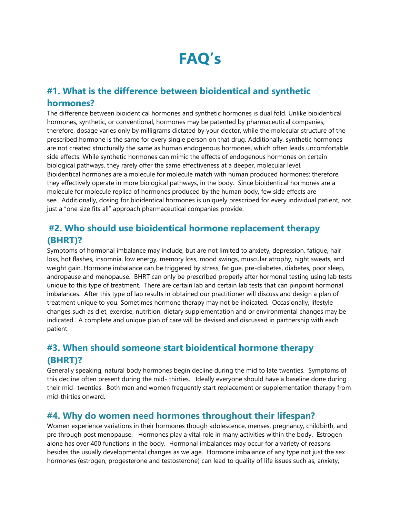# **FAQ's**

## **#1. What is the difference between bioidentical and synthetic hormones?**

The difference between bioidentical hormones and synthetic hormones is dual fold. Unlike bioidentical hormones, synthetic, or conventional, hormones may be patented by pharmaceutical companies; therefore, dosage varies only by milligrams dictated by your doctor, while the molecular structure of the prescribed hormone is the same for every single person on that drug. Additionally, synthetic hormones are not created structurally the same as human endogenous hormones, which often leads uncomfortable side effects. While synthetic hormones can mimic the effects of endogenous hormones on certain biological pathways, they rarely offer the same effectiveness at a deeper, molecular level. Bioidentical hormones are a molecule for molecule match with human produced hormones; therefore, they effectively operate in more biological pathways, in the body. Since bioidentical hormones are a molecule for molecule replica of hormones produced by the human body, few side effects are see. Additionally, dosing for bioidentical hormones is uniquely prescribed for every individual patient, not just a "one size fits all" approach pharmaceutical companies provide.

## **#2. Who should use bioidentical hormone replacement therapy (BHRT)?**

Symptoms of hormonal imbalance may include, but are not limited to anxiety, depression, fatigue, hair loss, hot flashes, insomnia, low energy, memory loss, mood swings, muscular atrophy, night sweats, and weight gain. Hormone imbalance can be triggered by stress, fatigue, pre-diabetes, diabetes, poor sleep, andropause and menopause. BHRT can only be prescribed properly after hormonal testing using lab tests unique to this type of treatment. There are certain lab and certain lab tests that can pinpoint hormonal imbalances. After this type of lab results in obtained our practitioner will discuss and design a plan of treatment unique to you. Sometimes hormone therapy may not be indicated. Occasionally, lifestyle changes such as diet, exercise, nutrition, dietary supplementation and or environmental changes may be indicated. A complete and unique plan of care will be devised and discussed in partnership with each patient.

# **#3. When should someone start bioidentical hormone therapy (BHRT)?**

Generally speaking, natural body hormones begin decline during the mid to late twenties. Symptoms of this decline often present during the mid- thirties. Ideally everyone should have a baseline done during their mid- twenties. Both men and women frequently start replacement or supplementation therapy from mid-thirties onward.

### **#4. Why do women need hormones throughout their lifespan?**

Women experience variations in their hormones though adolescence, menses, pregnancy, childbirth, and pre through post menopause. Hormones play a vital role in many activities within the body. Estrogen alone has over 400 functions in the body. Hormonal imbalances may occur for a variety of reasons besides the usually developmental changes as we age. Hormone imbalance of any type not just the sex hormones (estrogen, progesterone and testosterone) can lead to quality of life issues such as, anxiety,